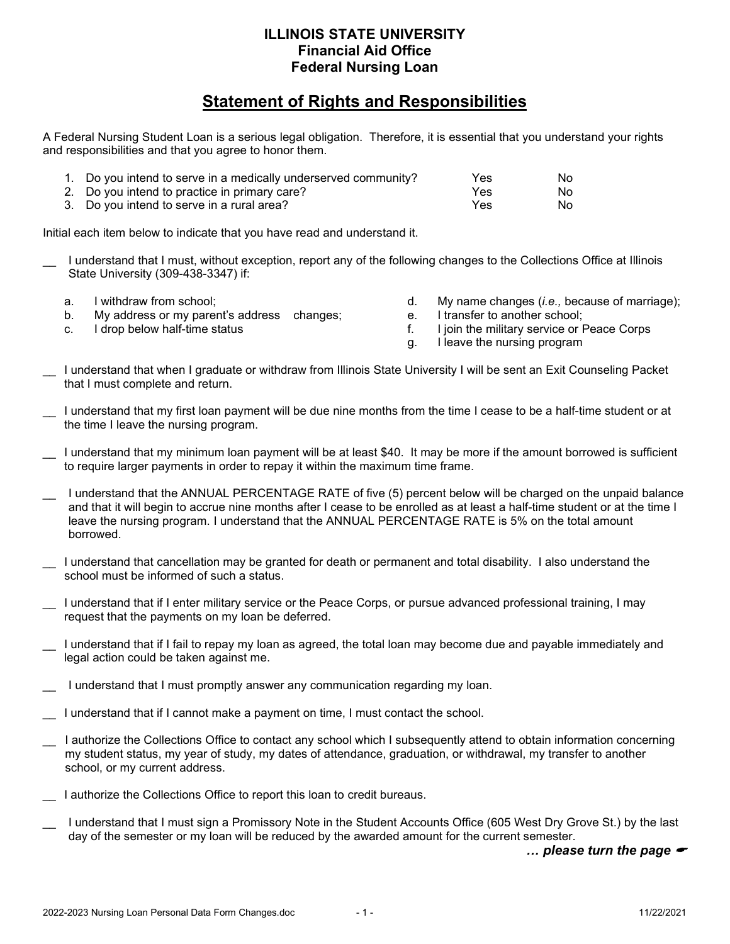## **ILLINOIS STATE UNIVERSITY Financial Aid Office Federal Nursing Loan**

## **Statement of Rights and Responsibilities**

A Federal Nursing Student Loan is a serious legal obligation. Therefore, it is essential that you understand your rights and responsibilities and that you agree to honor them.

| 1. Do you intend to serve in a medically underserved community? | Yes | No. |
|-----------------------------------------------------------------|-----|-----|
| 2. Do you intend to practice in primary care?                   | Yes | No. |
| 3. Do you intend to serve in a rural area?                      | Yes | No. |

Initial each item below to indicate that you have read and understand it.

- I understand that I must, without exception, report any of the following changes to the Collections Office at Illinois State University (309-438-3347) if:
	- a. I withdraw from school;
	- b. My address or my parent's address changes;
	- c. I drop below half-time status
- d. My name changes (*i.e.,* because of marriage);
- e. I transfer to another school;
- f. I join the military service or Peace Corps
- g. I leave the nursing program
- \_\_ I understand that when I graduate or withdraw from Illinois State University I will be sent an Exit Counseling Packet that I must complete and return.
- I understand that my first loan payment will be due nine months from the time I cease to be a half-time student or at the time I leave the nursing program.
- I understand that my minimum loan payment will be at least \$40. It may be more if the amount borrowed is sufficient to require larger payments in order to repay it within the maximum time frame.
- \_\_ I understand that the ANNUAL PERCENTAGE RATE of five (5) percent below will be charged on the unpaid balance and that it will begin to accrue nine months after I cease to be enrolled as at least a half-time student or at the time I leave the nursing program. I understand that the ANNUAL PERCENTAGE RATE is 5% on the total amount borrowed.
- I understand that cancellation may be granted for death or permanent and total disability. I also understand the school must be informed of such a status.
- \_\_ I understand that if I enter military service or the Peace Corps, or pursue advanced professional training, I may request that the payments on my loan be deferred.
- I understand that if I fail to repay my loan as agreed, the total loan may become due and payable immediately and legal action could be taken against me.
- I understand that I must promptly answer any communication regarding my loan.
- I understand that if I cannot make a payment on time, I must contact the school.
- I authorize the Collections Office to contact any school which I subsequently attend to obtain information concerning my student status, my year of study, my dates of attendance, graduation, or withdrawal, my transfer to another school, or my current address.
- I authorize the Collections Office to report this loan to credit bureaus.
- I understand that I must sign a Promissory Note in the Student Accounts Office (605 West Dry Grove St.) by the last day of the semester or my loan will be reduced by the awarded amount for the current semester.

*… please turn the page*